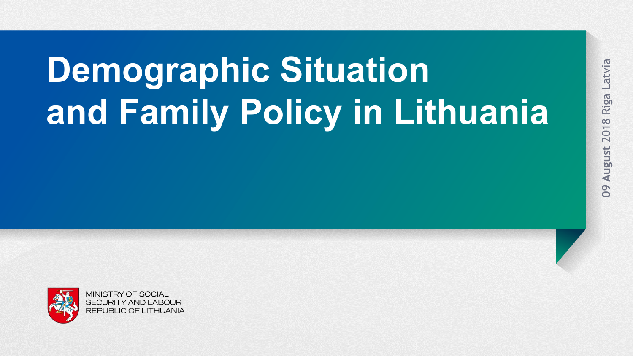# **Demographic Situation and Family Policy in Lithuania**

Latvia

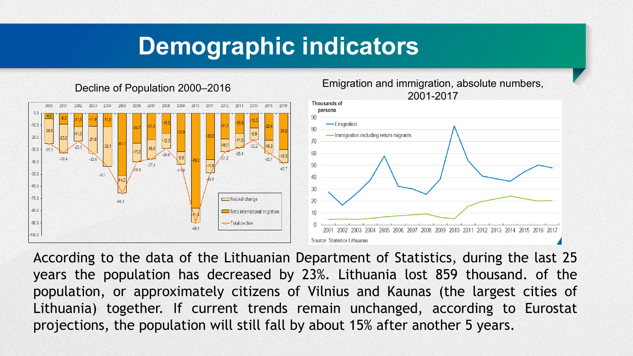#### **Demographic indicators**





According to the data of the Lithuanian Department of Statistics, during the last 25 years the population has decreased by 23%. Lithuania lost 859 thousand. of the population, or approximately citizens of Vilnius and Kaunas (the largest cities of Lithuania) together. If current trends remain unchanged, according to Eurostat projections, the population will still fall by about 15% after another 5 years.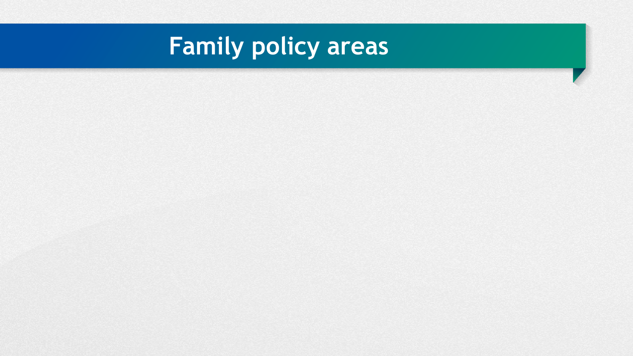## **Family policy areas**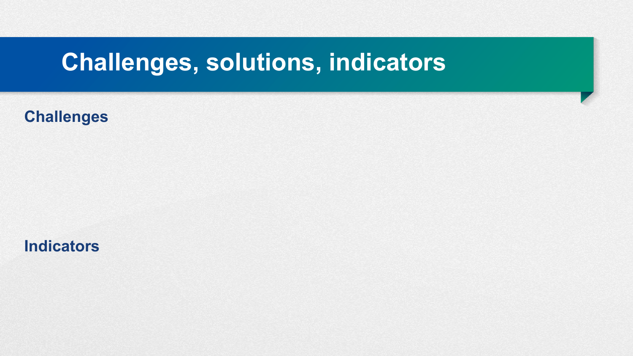### **Challenges, solutions, indicators**

**Challenges**

**Indicators**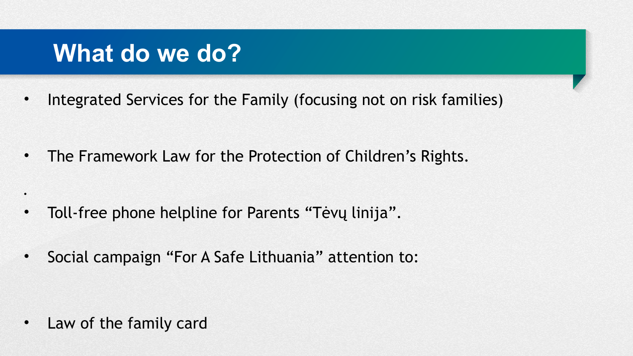### **What do we do?**

• Integrated Services for the Family (focusing not on risk families)

• The Framework Law for the Protection of Children's Rights.

- Toll-free phone helpline for Parents "Tėvų linija".
- Social campaign "For A Safe Lithuania" attention to:

Law of the family card

•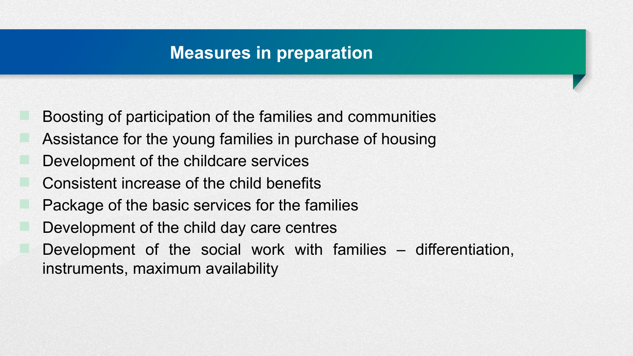#### **Measures in preparation**

- Boosting of participation of the families and communities
- Assistance for the young families in purchase of housing
- Development of the childcare services
- Consistent increase of the child benefits
- Package of the basic services for the families
- Development of the child day care centres
- Development of the social work with families differentiation, instruments, maximum availability